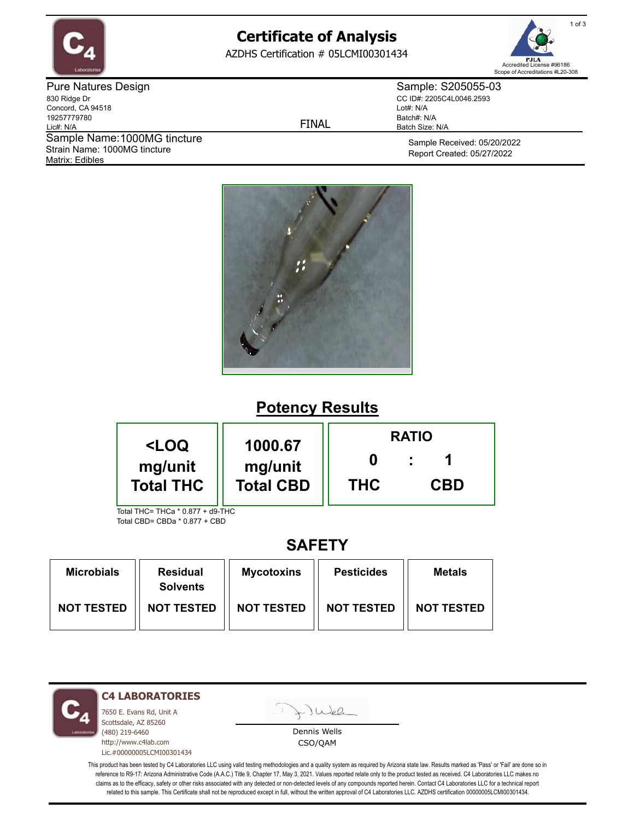

# **Certificate of Analysis**

AZDHS Certification # 05LCMI00301434



Pure Natures Design 830 Ridge Dr Concord, CA 94518 19257779780 Lic#: N/A Matrix: Edibles Sample Name: 1000MG tincture Strain Name: 1000MG tincture

FINAL

Sample: S205055-03 CC ID#: 2205C4L0046.2593 Lot#: N/A Batch#: N/A Batch Size: N/A

> Sample Received: 05/20/2022 Report Created: 05/27/2022



### **Potency Results**

| <loq< th=""><th rowspan="2">1000.67<br/>mg/unit<br/><b>Total CBD</b></th><th colspan="3"><b>RATIO</b></th></loq<> | 1000.67<br>mg/unit<br><b>Total CBD</b> | <b>RATIO</b> |            |  |
|-------------------------------------------------------------------------------------------------------------------|----------------------------------------|--------------|------------|--|
| mg/unit<br><b>Total THC</b>                                                                                       |                                        | <b>THC</b>   | <b>CBD</b> |  |
| Total THC= THCa * 0 877 + d9-THC                                                                                  |                                        |              |            |  |

Total CBD= CBDa \* 0.877 + CBD

### **SAFETY**

| <b>Microbials</b> | <b>Residual</b><br><b>Solvents</b> | <b>Mycotoxins</b> | <b>Pesticides</b> | <b>Metals</b>     |
|-------------------|------------------------------------|-------------------|-------------------|-------------------|
| <b>NOT TESTED</b> | <b>NOT TESTED</b>                  | <b>NOT TESTED</b> | <b>NOT TESTED</b> | <b>NOT TESTED</b> |

**C4 LABORATORIES**

7650 E. Evans Rd, Unit A Scottsdale, AZ 85260 (480) 219-6460 http://www.c4lab.com Lic.#00000005LCMI00301434

Juel

Dennis Wells CSO/QAM

This product has been tested by C4 Laboratories LLC using valid testing methodologies and a quality system as required by Arizona state law. Results marked as 'Pass' or 'Fail' are done so in reference to R9-17: Arizona Administrative Code (A.A.C.) Title 9, Chapter 17, May 3, 2021. Values reported relate only to the product tested as received. C4 Laboratories LLC makes no claims as to the efficacy, safety or other risks associated with any detected or non-detected levels of any compounds reported herein. Contact C4 Laboratories LLC for a technical report related to this sample. This Certificate shall not be reproduced except in full, without the written approval of C4 Laboratories LLC. AZDHS certification 00000005LCMI00301434.

1 of 3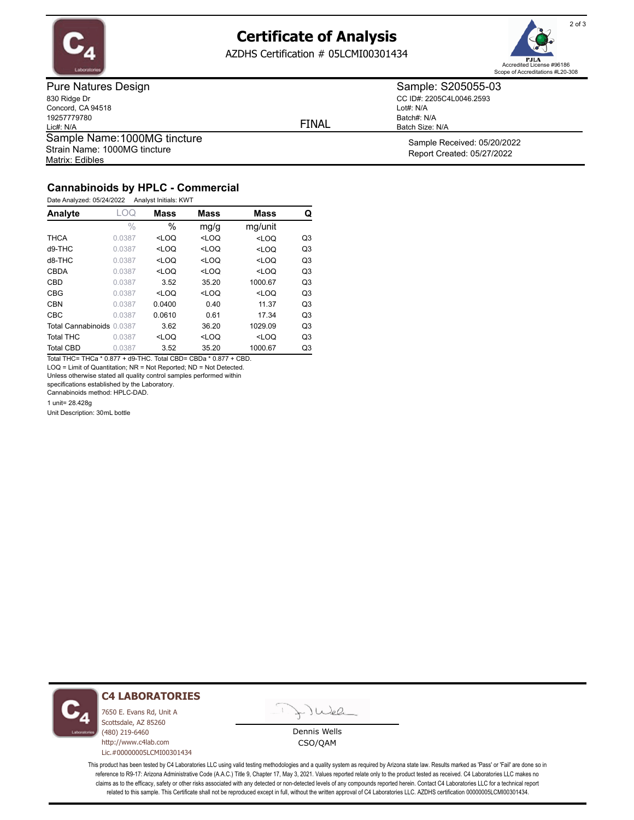

### **Certificate of Analysis**

AZDHS Certification # 05LCMI00301434



Pure Natures Design 830 Ridge Dr Concord, CA 94518 19257779780 Lic#: N/A Matrix: Edibles Sample Name: 1000MG tincture Strain Name: 1000MG tincture

FINAL

Lot#: N/A

Batch#: N/A Batch Size: N/A

Sample: S205055-03 CC ID#: 2205C4L0046.2593

> Sample Received: 05/20/2022 Report Created: 05/27/2022

### **Cannabinoids by HPLC - Commercial**

Date Analyzed: 05/24/2022 Analyst Initials: KWT

| Analyte                   | LOQ           | <b>Mass</b> | <b>Mass</b>                                                           | <b>Mass</b>                               | Q              |
|---------------------------|---------------|-------------|-----------------------------------------------------------------------|-------------------------------------------|----------------|
|                           | $\frac{0}{0}$ | $\%$        | mg/g                                                                  | mg/unit                                   |                |
| <b>THCA</b>               | 0.0387        | $<$ LOQ     | $<$ LOQ                                                               | $<$ LOQ                                   | Q <sub>3</sub> |
| d9-THC                    | 0.0387        | $<$ LOQ     | <loq< td=""><td><loq< td=""><td>Q<sub>3</sub></td></loq<></td></loq<> | <loq< td=""><td>Q<sub>3</sub></td></loq<> | Q <sub>3</sub> |
| d8-THC                    | 0.0387        | $<$ LOQ     | $<$ LOQ                                                               | $<$ LOQ                                   | Q <sub>3</sub> |
| <b>CBDA</b>               | 0.0387        | $<$ LOO     | $<$ LOQ                                                               | $<$ LOQ                                   | Q <sub>3</sub> |
| <b>CBD</b>                | 0.0387        | 3.52        | 35.20                                                                 | 1000.67                                   | Q <sub>3</sub> |
| <b>CBG</b>                | 0.0387        | $<$ LOQ     | $<$ LOQ                                                               | $<$ LOQ                                   | Q <sub>3</sub> |
| <b>CBN</b>                | 0.0387        | 0.0400      | 0.40                                                                  | 11.37                                     | Q <sub>3</sub> |
| <b>CBC</b>                | 0.0387        | 0.0610      | 0.61                                                                  | 17.34                                     | Q <sub>3</sub> |
| Total Cannabinoids 0.0387 |               | 3.62        | 36.20                                                                 | 1029.09                                   | Q <sub>3</sub> |
| <b>Total THC</b>          | 0.0387        | $<$ LOQ     | $<$ LOQ                                                               | $<$ LOQ                                   | Q <sub>3</sub> |
| <b>Total CBD</b>          | 0.0387        | 3.52        | 35.20                                                                 | 1000.67                                   | Q <sub>3</sub> |

Total THC= THCa \* 0.877 + d9-THC. Total CBD= CBDa \* 0.877 + CBD. LOQ = Limit of Quantitation; NR = Not Reported; ND = Not Detected.

Unless otherwise stated all quality control samples performed within

specifications established by the Laboratory.

Cannabinoids method: HPLC-DAD.

1 unit= 28.428g

Unit Description: 30mL bottle



#### **C4 LABORATORIES**

7650 E. Evans Rd, Unit A Scottsdale, AZ 85260 (480) 219-6460 http://www.c4lab.com Lic.#00000005LCMI00301434



Dennis Wells CSO/QAM

This product has been tested by C4 Laboratories LLC using valid testing methodologies and a quality system as required by Arizona state law. Results marked as 'Pass' or 'Fail' are done so in reference to R9-17: Arizona Administrative Code (A.A.C.) Title 9, Chapter 17, May 3, 2021. Values reported relate only to the product tested as received. C4 Laboratories LLC makes no claims as to the efficacy, safety or other risks associated with any detected or non-detected levels of any compounds reported herein. Contact C4 Laboratories LLC for a technical report related to this sample. This Certificate shall not be reproduced except in full, without the written approval of C4 Laboratories LLC. AZDHS certification 00000005LCMI00301434.